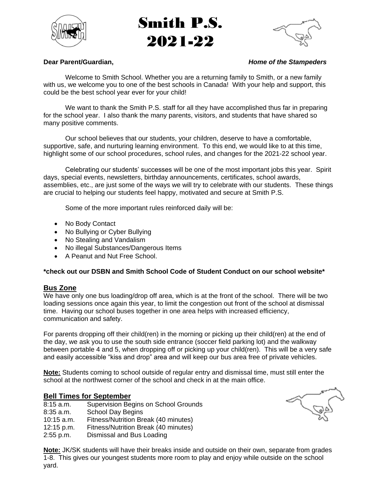

# Smith P.S. 2021-22



#### **Dear Parent/Guardian,** *Home of the Stampeders*

Welcome to Smith School. Whether you are a returning family to Smith, or a new family with us, we welcome you to one of the best schools in Canada! With your help and support, this could be the best school year ever for your child!

We want to thank the Smith P.S. staff for all they have accomplished thus far in preparing for the school year. I also thank the many parents, visitors, and students that have shared so many positive comments.

Our school believes that our students, your children, deserve to have a comfortable, supportive, safe, and nurturing learning environment. To this end, we would like to at this time, highlight some of our school procedures, school rules, and changes for the 2021-22 school year.

Celebrating our students' successes will be one of the most important jobs this year. Spirit days, special events, newsletters, birthday announcements, certificates, school awards, assemblies, etc., are just some of the ways we will try to celebrate with our students. These things are crucial to helping our students feel happy, motivated and secure at Smith P.S.

Some of the more important rules reinforced daily will be:

- No Body Contact
- No Bullying or Cyber Bullying
- No Stealing and Vandalism
- No illegal Substances/Dangerous Items
- A Peanut and Nut Free School.

#### **\*check out our DSBN and Smith School Code of Student Conduct on our school website\***

#### **Bus Zone**

We have only one bus loading/drop off area, which is at the front of the school. There will be two loading sessions once again this year, to limit the congestion out front of the school at dismissal time. Having our school buses together in one area helps with increased efficiency, communication and safety.

For parents dropping off their child(ren) in the morning or picking up their child(ren) at the end of the day, we ask you to use the south side entrance (soccer field parking lot) and the walkway between portable 4 and 5, when dropping off or picking up your child(ren). This will be a very safe and easily accessible "kiss and drop" area and will keep our bus area free of private vehicles.

**Note:** Students coming to school outside of regular entry and dismissal time, must still enter the school at the northwest corner of the school and check in at the main office.

#### **Bell Times for September**

| 8:15a.m.     | <b>Supervision Begins on School Grounds</b> |
|--------------|---------------------------------------------|
| $8:35$ a.m.  | <b>School Day Begins</b>                    |
| $10:15$ a.m. | Fitness/Nutrition Break (40 minutes)        |
| 12:15 p.m.   | Fitness/Nutrition Break (40 minutes)        |
| 2:55 p.m.    | Dismissal and Bus Loading                   |



**Note:** JK/SK students will have their breaks inside and outside on their own, separate from grades 1-8. This gives our youngest students more room to play and enjoy while outside on the school yard.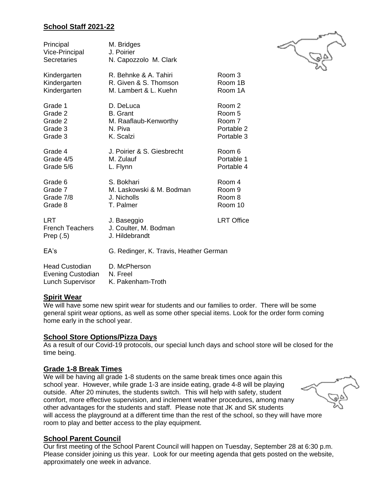### **School Staff 2021-22**

| Principal<br>Vice-Principal<br><b>Secretaries</b>   | M. Bridges<br>J. Poirier<br>N. Capozzolo M. Clark      |                   |
|-----------------------------------------------------|--------------------------------------------------------|-------------------|
| Kindergarten                                        | R. Behnke & A. Tahiri                                  | Room 3            |
| Kindergarten                                        | R. Given & S. Thomson                                  | Room 1B           |
| Kindergarten                                        | M. Lambert & L. Kuehn                                  | Room 1A           |
| Grade 1                                             | D. DeLuca                                              | Room 2            |
| Grade 2                                             | <b>B.</b> Grant                                        | Room 5            |
| Grade 2                                             | M. Raaflaub-Kenworthy                                  | Room 7            |
| Grade 3                                             | N. Piva                                                | Portable 2        |
| Grade 3                                             | K. Scalzi                                              | Portable 3        |
| Grade 4                                             | J. Poirier & S. Giesbrecht                             | Room 6            |
| Grade 4/5                                           | M. Zulauf                                              | Portable 1        |
| Grade 5/6                                           | L. Flynn                                               | Portable 4        |
| Grade 6                                             | S. Bokhari                                             | Room 4            |
| Grade 7                                             | M. Laskowski & M. Bodman                               | Room <sub>9</sub> |
| Grade 7/8                                           | J. Nicholls                                            | Room 8            |
| Grade 8                                             | T. Palmer                                              | Room 10           |
| <b>LRT</b><br><b>French Teachers</b><br>Prep $(.5)$ | J. Baseggio<br>J. Coulter, M. Bodman<br>J. Hildebrandt | <b>LRT Office</b> |
| EA's                                                | G. Redinger, K. Travis, Heather German                 |                   |
| <b>Head Custodian</b><br><b>Evening Custodian</b>   | D. McPherson<br>N. Freel                               |                   |

#### **Spirit Wear**

We will have some new spirit wear for students and our families to order. There will be some general spirit wear options, as well as some other special items. Look for the order form coming home early in the school year.

#### **School Store Options/Pizza Days**

Lunch Supervisor K. Pakenham-Troth

As a result of our Covid-19 protocols, our special lunch days and school store will be closed for the time being.

#### **Grade 1-8 Break Times**

We will be having all grade 1-8 students on the same break times once again this school year. However, while grade 1-3 are inside eating, grade 4-8 will be playing outside. After 20 minutes, the students switch. This will help with safety, student comfort, more effective supervision, and inclement weather procedures, among many other advantages for the students and staff. Please note that JK and SK students will access the playground at a different time than the rest of the school, so they will have more room to play and better access to the play equipment.

# **School Parent Council**

Our first meeting of the School Parent Council will happen on Tuesday, September 28 at 6:30 p.m. Please consider joining us this year. Look for our meeting agenda that gets posted on the website, approximately one week in advance.